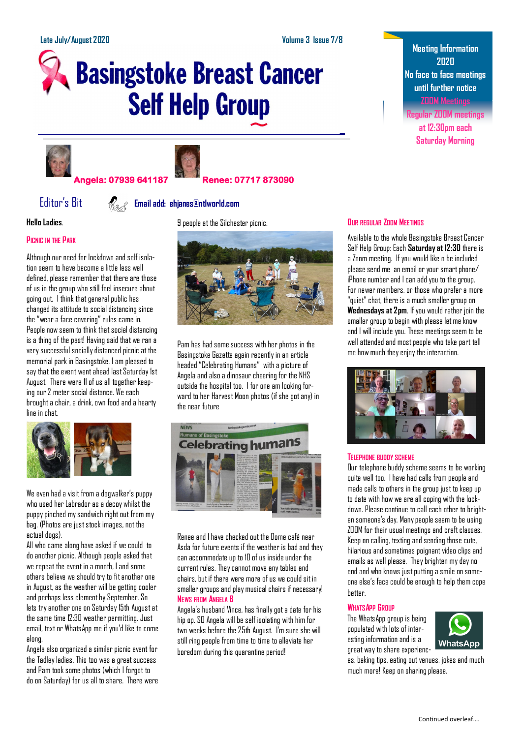# **Basingstoke Breast Cancer Self Help Group**





### **Angela: 07939 641187 Renee: 07717 873090**

## Editor's Bit **Email add: ehjanes@ntlworld.com**

**Hello Ladies**.

#### **PICNIC IN THE PARK**

Although our need for lockdown and self isolation seem to have become a little less well defined, please remember that there are those of us in the group who still feel insecure about going out. I think that general public has changed its attitude to social distancing since the "wear a face covering" rules came in. People now seem to think that social distancing is a thing of the past! Having said that we ran a very successful socially distanced picnic at the memorial park in Basingstoke. I am pleased to say that the event went ahead last Saturday 1st August. There were 11 of us all together keeping our 2 meter social distance. We each brought a chair, a drink, own food and a hearty line in chat.



We even had a visit from a dogwalker's puppy who used her Labrador as a decoy whilst the puppy pinched my sandwich right out from my bag. (Photos are just stock images, not the actual dogs).

All who came along have asked if we could to do another picnic. Although people asked that we repeat the event in a month, I and some others believe we should try to fit another one in August, as the weather will be getting cooler and perhaps less clement by September. So lets try another one on Saturday 15th August at the same time 12:30 weather permitting. Just email, text or WhatsApp me if you'd like to come along.

Angela also organized a similar picnic event for the Tadley ladies. This too was a great success and Pam took some photos (which I forgot to do on Saturday) for us all to share. There were 9 people at the Silchester picnic.



Pam has had some success with her photos in the Basingstoke Gazette again recently in an article headed "Celebrating Humans" with a picture of Angela and also a dinosaur cheering for the NHS outside the hospital too. I for one am looking forward to her Harvest Moon photos (if she got any) in the near future



Renee and I have checked out the Dome café near Asda for future events if the weather is bad and they can accommodate up to 10 of us inside under the current rules. They cannot move any tables and chairs, but if there were more of us we could sit in smaller groups and play musical chairs if necessary! **NEWS FROM ANGELA B**

Angela's husband Vince, has finally got a date for his hip op. SO Angela will be self isolating with him for two weeks before the 25th August. I'm sure she will still ring people from time to time to alleviate her boredom during this quarantine period!

#### **OUR REGULAR ZOOM MEETINGS**

Available to the whole Basingstoke Breast Cancer Self Help Group: Each **Saturday at 12:30** there is a Zoom meeting. If you would like o be included please send me an email or your smart phone/ iPhone number and I can add you to the group. For newer members, or those who prefer a more "quiet" chat, there is a much smaller group on **Wednesdays at 2pm**. If you would rather join the smaller group to begin with please let me know and I will include you. These meetings seem to be well attended and most people who take part tell me how much they enjoy the interaction.



#### **TELEPHONE BUDDY SCHEME**

Our telephone buddy scheme seems to be working quite well too. I have had calls from people and made calls to others in the group just to keep up to date with how we are all coping with the lockdown. Please continue to call each other to brighten someone's day. Many people seem to be using ZOOM for their usual meetings and craft classes. Keep on calling, texting and sending those cute, hilarious and sometimes poignant video clips and emails as well please. They brighten my day no end and who knows just putting a smile on someone else's face could be enough to help them cope better.

#### **WHATSAPP GROUP**

The WhatsApp group is being populated with lots of interesting information and is a great way to share experienc-



es, baking tips, eating out venues, jokes and much much more! Keep on sharing please.

# **Meeting Information 2020 No face to face meetings until further notice ZOOM Meetings**

**Regular ZOOM meetings at 12:30pm each Saturday Morning**